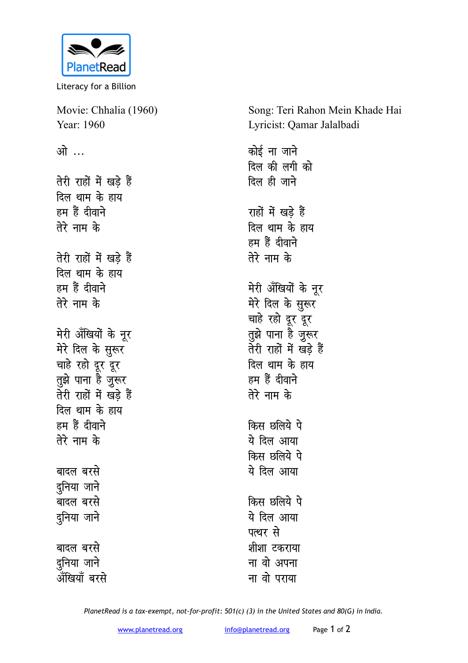

Literacy for a Billion

Movie: Chhalia (1960) Year: 1960 <u>ओ ...</u> **तेरी राहों में खड़े हैं** <u>दिल थाम के हाय</u> हम हैं दीवाने **तेरे नाम के तेरी राहों में खड़े हैं** <u>दिल थाम के हाय</u> हम हैं दीवाने तेरे नाम के मेरी अँखियों के नूर मेरे दिल के सुरूर चाहे रहो दूर दूर <u>त</u>ुझे पाना है जुरूर तेरी राहों में खड़े हैं <u>दिल थाम के हाय</u> हम हैं दीवाने तेरे नाम के बादल बरसे दनिया जाने बादल बरसे **दुनिया** जाने बादल बरसे **दुनिया** जाने <u>अँखियाँ बरसे</u>

Song: Teri Rahon Mein Khade Hai Lyricist: Qamar Jalalbadi

<u>कोई ना जाने</u> <u>दिल की लगी को</u> **दिल ही जाने** राहों में खड़े हैं दिल थाम के हाय हम हैं दीवाने तेरे नाम के मेरी अँखियों के नूर मेरे दिल के सूरूर चाहे रहो दूर दूर <u>त</u>ुझे पाना है जुरूर **तेरी राहों में खड़े हैं** <u>दिल थाम के हाय</u> हम हैं दीवाने तेरे नाम के **किस छलिये पे** <u>ये</u> दिल आया **किस छलिये पे** ये दिल आया **किस छलिये पे** ये दिल आया पत्थर से <u> शीशा टकराया</u> <u>ना</u> वो अपना <u>ना वो पराया</u>

*PlanetRead is a tax-exempt, not-for-profit: 501(c) (3) in the United States and 80(G) in India.*